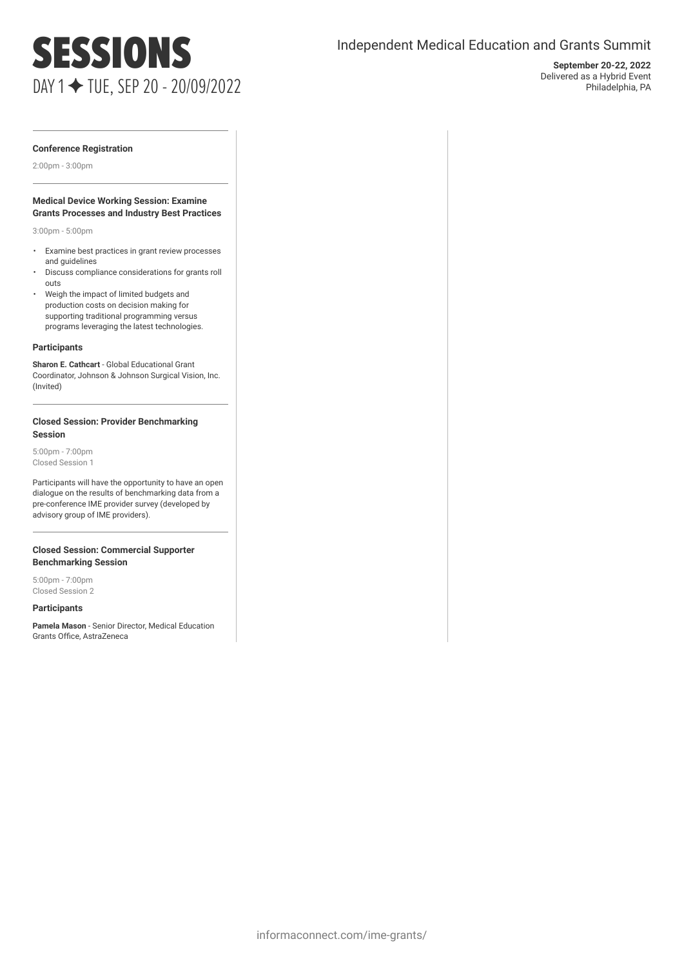## SESSIONS DAY 1 ✦ TUE, SEP 20 - 20/09/2022

### Independent Medical Education and Grants Summit

**September 20-22, 2022** Delivered as a Hybrid Event Philadelphia, PA

#### **Conference Registration**

2:00pm - 3:00pm

#### **Medical Device Working Session: Examine Grants Processes and Industry Best Practices**

3:00pm - 5:00pm

- Examine best practices in grant review processes and guidelines
- Discuss compliance considerations for grants roll outs
- Weigh the impact of limited budgets and production costs on decision making for supporting traditional programming versus programs leveraging the latest technologies.

#### **Participants**

**Sharon E. Cathcart** - Global Educational Grant Coordinator, Johnson & Johnson Surgical Vision, Inc. (Invited)

#### **Closed Session: Provider Benchmarking Session**

5:00pm - 7:00pm Closed Session 1

Participants will have the opportunity to have an open dialogue on the results of benchmarking data from a pre-conference IME provider survey (developed by advisory group of IME providers).

#### **Closed Session: Commercial Supporter Benchmarking Session**

5:00pm - 7:00pm Closed Session 2

#### **Participants**

**Pamela Mason** - Senior Director, Medical Education Grants Office, AstraZeneca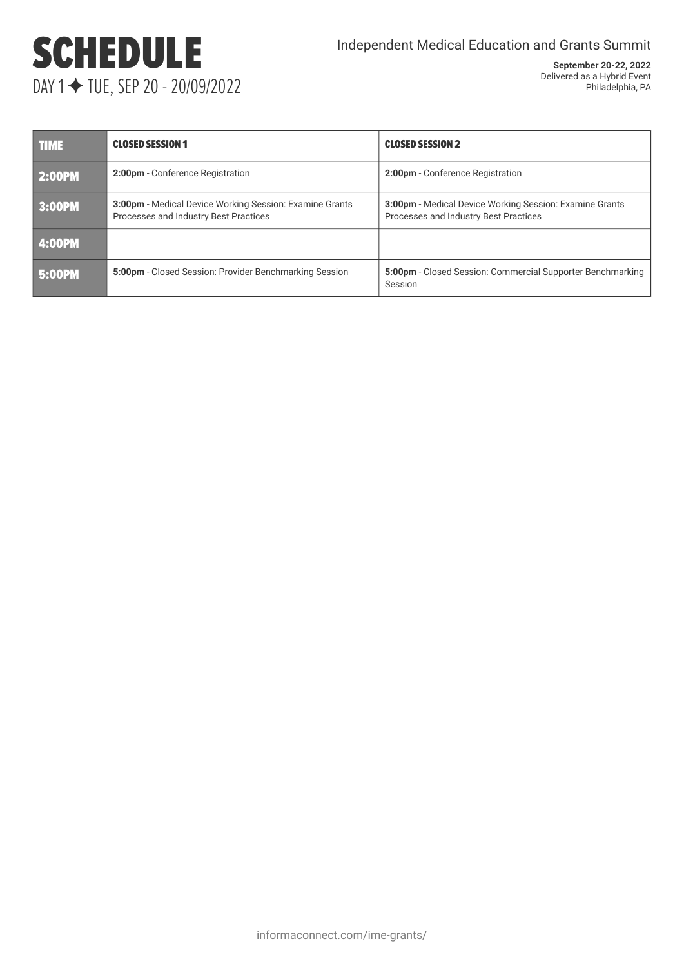# SCHEDULE DAY 1 ✦ TUE, SEP 20 - 20/09/2022

| <b>TIME</b>   | <b>CLOSED SESSION 1</b>                                                                                 | <b>CLOSED SESSION 2</b>                                                                                 |  |  |
|---------------|---------------------------------------------------------------------------------------------------------|---------------------------------------------------------------------------------------------------------|--|--|
| <b>2:00PM</b> | 2:00pm - Conference Registration                                                                        | 2:00pm - Conference Registration                                                                        |  |  |
| 3:00PM        | <b>3:00pm</b> - Medical Device Working Session: Examine Grants<br>Processes and Industry Best Practices | <b>3:00pm</b> - Medical Device Working Session: Examine Grants<br>Processes and Industry Best Practices |  |  |
| 4:00PM        |                                                                                                         |                                                                                                         |  |  |
| <b>5:00PM</b> | 5:00pm - Closed Session: Provider Benchmarking Session                                                  | 5:00pm - Closed Session: Commercial Supporter Benchmarking<br>Session                                   |  |  |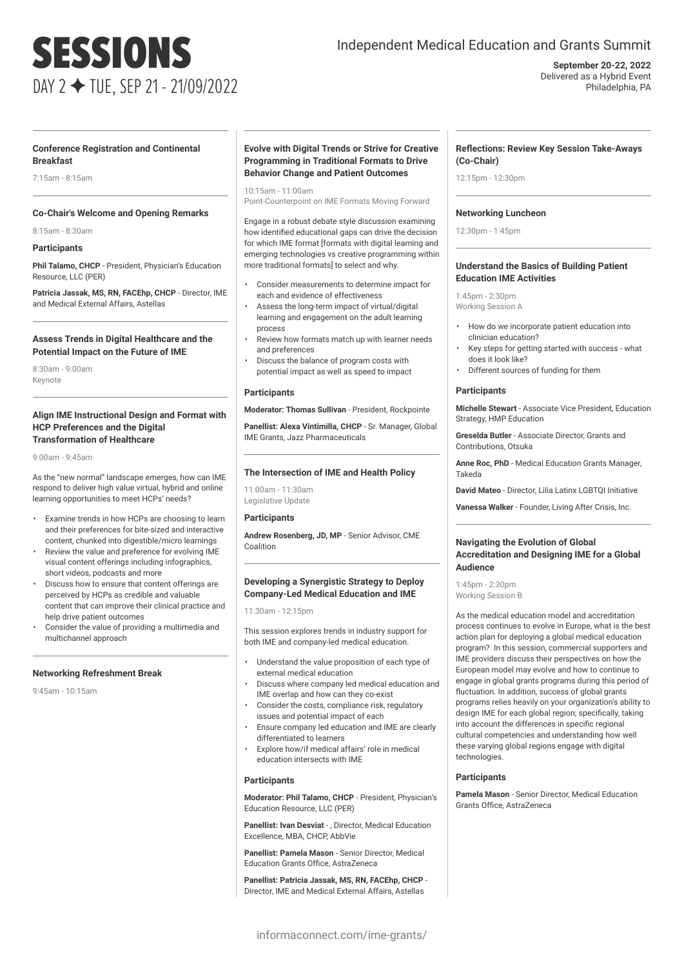## SESSIONS DAY 2 ✦ TUE, SEP 21 - 21/09/2022

### Independent Medical Education and Grants Summit

**September 20-22, 2022** Delivered as a Hybrid Event Philadelphia, PA

#### **Conference Registration and Continental Breakfast**

7:15am - 8:15am

#### **Co-Chair's Welcome and Opening Remarks**

8:15am - 8:30am

#### **Participants**

**Phil Talamo, CHCP** - President, Physician's Education Resource, LLC (PER)

**Patricia Jassak, MS, RN, FACEhp, CHCP** - Director, IME and Medical External Affairs, Astellas

#### **Assess Trends in Digital Healthcare and the Potential Impact on the Future of IME**

8:30am - 9:00am Keynote

#### **Align IME Instructional Design and Format with HCP Preferences and the Digital Transformation of Healthcare**

9:00am - 9:45am

As the "new normal" landscape emerges, how can IME respond to deliver high value virtual, hybrid and online learning opportunities to meet HCPs' needs?

- Examine trends in how HCPs are choosing to learn and their preferences for bite-sized and interactive content, chunked into digestible/micro learnings
- Review the value and preference for evolving IME visual content offerings including infographics, short videos, podcasts and more
- Discuss how to ensure that content offerings are perceived by HCPs as credible and valuable content that can improve their clinical practice and help drive patient outcomes
- Consider the value of providing a multimedia and multichannel approach

#### **Networking Refreshment Break**

9:45am - 10:15am

#### **Evolve with Digital Trends or Strive for Creative Programming in Traditional Formats to Drive Behavior Change and Patient Outcomes**

10:15am - 11:00am Point-Counterpoint on IME Formats Moving Forward

Engage in a robust debate style discussion examining how identified educational gaps can drive the decision for which IME format [formats with digital learning and emerging technologies vs creative programming within more traditional formats] to select and why.

- Consider measurements to determine impact for each and evidence of effectiveness
- Assess the long-term impact of virtual/digital learning and engagement on the adult learning
- process • Review how formats match up with learner needs
- and preferences
- Discuss the balance of program costs with potential impact as well as speed to impact

#### **Participants**

**Moderator: Thomas Sullivan** - President, Rockpointe

**Panellist: Alexa Vintimilla, CHCP** - Sr. Manager, Global IME Grants, Jazz Pharmaceuticals

#### **The Intersection of IME and Health Policy**

11:00am - 11:30am Legislative Update

#### **Participants**

**Andrew Rosenberg, JD, MP** - Senior Advisor, CME Coalition

#### **Developing a Synergistic Strategy to Deploy Company-Led Medical Education and IME**

11:30am - 12:15pm

This session explores trends in industry support for both IME and company-led medical education.

- Understand the value proposition of each type of external medical education
- Discuss where company led medical education and IME overlap and how can they co-exist
- Consider the costs, compliance risk, regulatory issues and potential impact of each
- Ensure company led education and IME are clearly differentiated to learners
- Explore how/if medical affairs' role in medical education intersects with IME

#### **Participants**

**Moderator: Phil Talamo, CHCP** - President, Physician's Education Resource, LLC (PER)

**Panellist: Ivan Desviat** - , Director, Medical Education Excellence, MBA, CHCP, AbbVie

**Panellist: Pamela Mason** - Senior Director, Medical Education Grants Office, AstraZeneca

**Panellist: Patricia Jassak, MS, RN, FACEhp, CHCP** - Director, IME and Medical External Affairs, Astellas

#### **Reflections: Review Key Session Take-Aways (Co-Chair)**

12:15pm - 12:30pm

#### **Networking Luncheon**

12:30pm - 1:45pm

#### **Understand the Basics of Building Patient Education IME Activities**

1:45pm - 2:30pm Working Session A

- How do we incorporate patient education into clinician education?
- Key steps for getting started with success what does it look like?
- Different sources of funding for them

#### **Participants**

**Michelle Stewart** - Associate Vice President, Education Strategy, HMP Education

**Greselda Butler** - Associate Director, Grants and Contributions, Otsuka

**Anne Roc, PhD** - Medical Education Grants Manager, Takeda

**David Mateo** - Director, Lilia Latinx LGBTQI Initiative

**Vanessa Walker** - Founder, Living After Crisis, Inc.

#### **Navigating the Evolution of Global Accreditation and Designing IME for a Global Audience**

1:45pm - 2:30pm Working Session B

As the medical education model and accreditation process continues to evolve in Europe, what is the best action plan for deploying a global medical education program? In this session, commercial supporters and IME providers discuss their perspectives on how the European model may evolve and how to continue to engage in global grants programs during this period of fluctuation. In addition, success of global grants programs relies heavily on your organization's ability to design IME for each global region; specifically, taking into account the differences in specific regional cultural competencies and understanding how well these varying global regions engage with digital technologies.

#### **Participants**

**Pamela Mason** - Senior Director, Medical Education Grants Office, AstraZeneca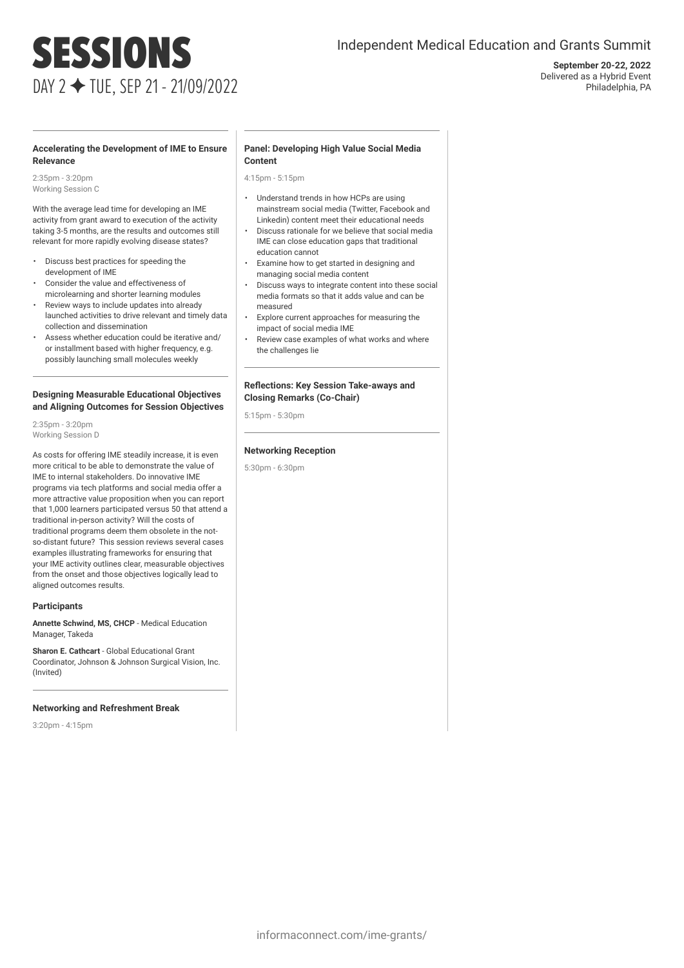# SESSIONS DAY 2 ✦ TUE, SEP 21 - 21/09/2022

### Independent Medical Education and Grants Summit

**September 20-22, 2022** Delivered as a Hybrid Event Philadelphia, PA

#### **Accelerating the Development of IME to Ensure Relevance**

2:35pm - 3:20pm Working Session C

With the average lead time for developing an IME activity from grant award to execution of the activity taking 3-5 months, are the results and outcomes still relevant for more rapidly evolving disease states?

- Discuss best practices for speeding the development of IME
- Consider the value and effectiveness of microlearning and shorter learning modules
- Review ways to include updates into already launched activities to drive relevant and timely data collection and dissemination
- Assess whether education could be iterative and/ or installment based with higher frequency, e.g. possibly launching small molecules weekly

#### **Designing Measurable Educational Objectives and Aligning Outcomes for Session Objectives**

2:35pm - 3:20pm Working Session D

As costs for offering IME steadily increase, it is even more critical to be able to demonstrate the value of IME to internal stakeholders. Do innovative IME programs via tech platforms and social media offer a more attractive value proposition when you can report that 1,000 learners participated versus 50 that attend a traditional in-person activity? Will the costs of traditional programs deem them obsolete in the notso-distant future? This session reviews several cases examples illustrating frameworks for ensuring that your IME activity outlines clear, measurable objectives from the onset and those objectives logically lead to aligned outcomes results.

#### **Participants**

**Annette Schwind, MS, CHCP** - Medical Education Manager, Takeda

**Sharon E. Cathcart** - Global Educational Grant Coordinator, Johnson & Johnson Surgical Vision, Inc. (Invited)

#### **Networking and Refreshment Break**

3:20pm - 4:15pm

#### **Panel: Developing High Value Social Media Content**

4:15pm - 5:15pm

- Understand trends in how HCPs are using mainstream social media (Twitter, Facebook and Linkedin) content meet their educational needs
- Discuss rationale for we believe that social media IME can close education gaps that traditional education cannot
- Examine how to get started in designing and managing social media content
- Discuss ways to integrate content into these social media formats so that it adds value and can be measured
- Explore current approaches for measuring the impact of social media IME
- Review case examples of what works and where the challenges lie

#### **Reflections: Key Session Take-aways and Closing Remarks (Co-Chair)**

5:15pm - 5:30pm

#### **Networking Reception**

5:30pm - 6:30pm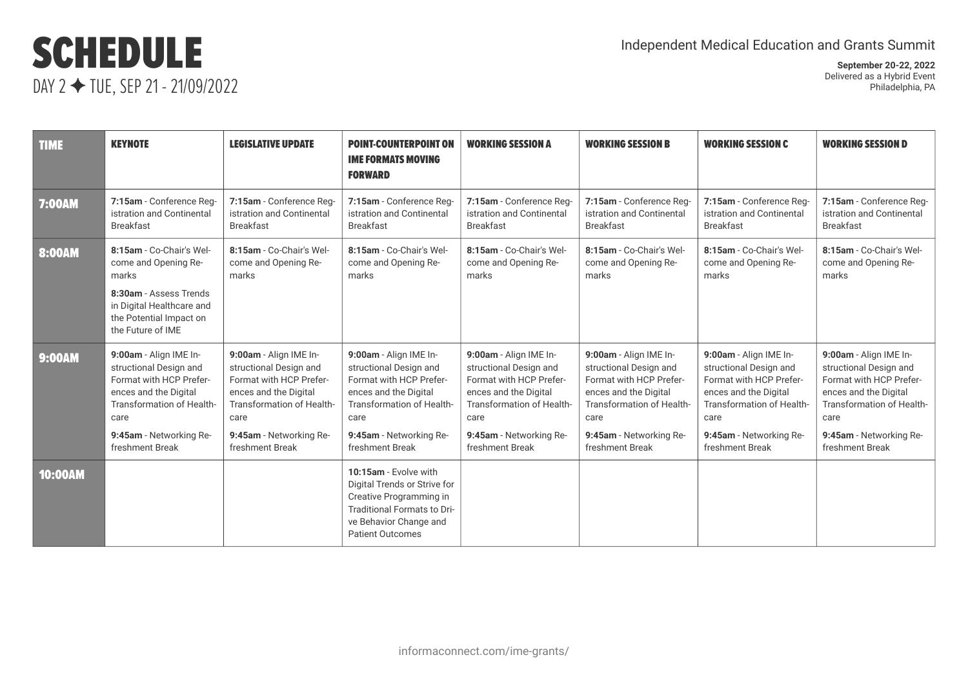## SCHEDULE DAY 2 ✦ TUE, SEP 21 - 21/09/2022

| <b>TIME</b>    | <b>KEYNOTE</b>                                                                                                                                                                          | <b>LEGISLATIVE UPDATE</b>                                                                                                                                                               | <b>POINT-COUNTERPOINT ON</b><br><b>IME FORMATS MOVING</b><br><b>FORWARD</b>                                                                                                             | <b>WORKING SESSION A</b>                                                                                                                                                                | <b>WORKING SESSION B</b>                                                                                                                                                                | <b>WORKING SESSION C</b>                                                                                                                                                                | <b>WORKING SESSION D</b>                                                                                                                                                                |
|----------------|-----------------------------------------------------------------------------------------------------------------------------------------------------------------------------------------|-----------------------------------------------------------------------------------------------------------------------------------------------------------------------------------------|-----------------------------------------------------------------------------------------------------------------------------------------------------------------------------------------|-----------------------------------------------------------------------------------------------------------------------------------------------------------------------------------------|-----------------------------------------------------------------------------------------------------------------------------------------------------------------------------------------|-----------------------------------------------------------------------------------------------------------------------------------------------------------------------------------------|-----------------------------------------------------------------------------------------------------------------------------------------------------------------------------------------|
| <b>7:00AM</b>  | 7:15am - Conference Reg-<br>istration and Continental<br><b>Breakfast</b>                                                                                                               | 7:15am - Conference Reg-<br>istration and Continental<br><b>Breakfast</b>                                                                                                               | 7:15am - Conference Reg-<br>istration and Continental<br><b>Breakfast</b>                                                                                                               | 7:15am - Conference Reg-<br>istration and Continental<br><b>Breakfast</b>                                                                                                               | 7:15am - Conference Reg-<br>istration and Continental<br><b>Breakfast</b>                                                                                                               | 7:15am - Conference Reg-<br>istration and Continental<br><b>Breakfast</b>                                                                                                               | 7:15am - Conference Reg-<br>istration and Continental<br><b>Breakfast</b>                                                                                                               |
| <b>8:00AM</b>  | 8:15am - Co-Chair's Wel-<br>come and Opening Re-<br>marks<br>8:30am - Assess Trends<br>in Digital Healthcare and<br>the Potential Impact on<br>the Future of IME                        | 8:15am - Co-Chair's Wel-<br>come and Opening Re-<br>marks                                                                                                                               | 8:15am - Co-Chair's Wel-<br>come and Opening Re-<br>marks                                                                                                                               | 8:15am - Co-Chair's Wel-<br>come and Opening Re-<br>marks                                                                                                                               | 8:15am - Co-Chair's Wel-<br>come and Opening Re-<br>marks                                                                                                                               | 8:15am - Co-Chair's Wel-<br>come and Opening Re-<br>marks                                                                                                                               | 8:15am - Co-Chair's Wel-<br>come and Opening Re-<br>marks                                                                                                                               |
| <b>9:00AM</b>  | 9:00am - Align IME In-<br>structional Design and<br>Format with HCP Prefer-<br>ences and the Digital<br>Transformation of Health-<br>care<br>9:45am - Networking Re-<br>freshment Break | 9:00am - Align IME In-<br>structional Design and<br>Format with HCP Prefer-<br>ences and the Digital<br>Transformation of Health-<br>care<br>9:45am - Networking Re-<br>freshment Break | 9:00am - Align IME In-<br>structional Design and<br>Format with HCP Prefer-<br>ences and the Digital<br>Transformation of Health-<br>care<br>9:45am - Networking Re-<br>freshment Break | 9:00am - Align IME In-<br>structional Design and<br>Format with HCP Prefer-<br>ences and the Digital<br>Transformation of Health-<br>care<br>9:45am - Networking Re-<br>freshment Break | 9:00am - Align IME In-<br>structional Design and<br>Format with HCP Prefer-<br>ences and the Digital<br>Transformation of Health-<br>care<br>9:45am - Networking Re-<br>freshment Break | 9:00am - Align IME In-<br>structional Design and<br>Format with HCP Prefer-<br>ences and the Digital<br>Transformation of Health-<br>care<br>9:45am - Networking Re-<br>freshment Break | 9:00am - Align IME In-<br>structional Design and<br>Format with HCP Prefer-<br>ences and the Digital<br>Transformation of Health-<br>care<br>9:45am - Networking Re-<br>freshment Break |
| <b>10:00AM</b> |                                                                                                                                                                                         |                                                                                                                                                                                         | 10:15am - Evolve with<br>Digital Trends or Strive for<br>Creative Programming in<br>Traditional Formats to Dri-<br>ve Behavior Change and<br><b>Patient Outcomes</b>                    |                                                                                                                                                                                         |                                                                                                                                                                                         |                                                                                                                                                                                         |                                                                                                                                                                                         |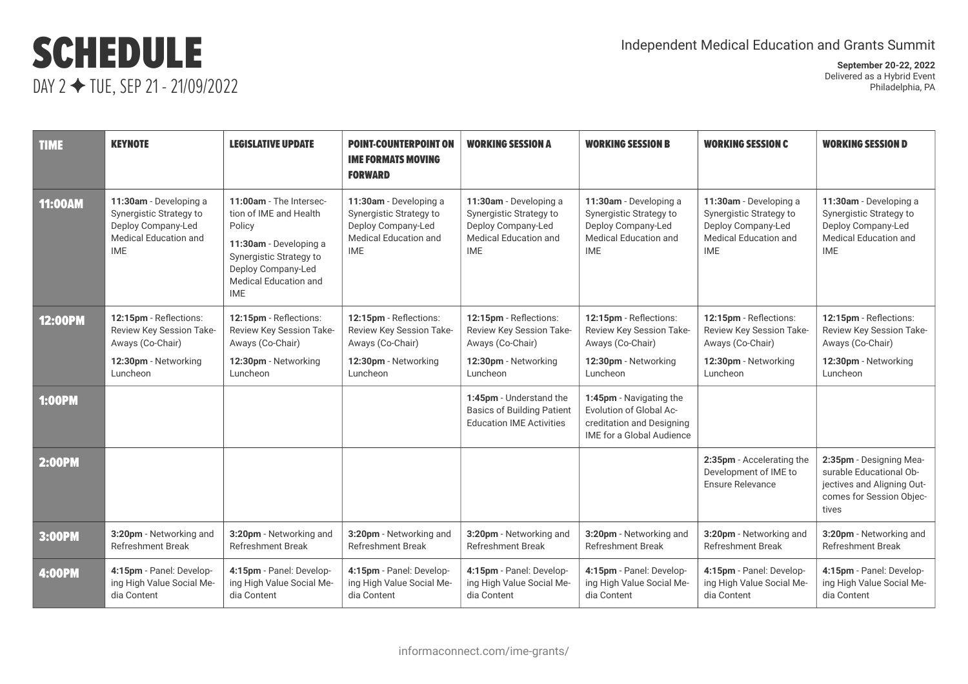## SCHEDULE DAY 2 ✦ TUE, SEP 21 - 21/09/2022

| <b>TIME</b>    | <b>KEYNOTE</b>                                                                                                 | <b>LEGISLATIVE UPDATE</b>                                                                                                                                                     | <b>POINT-COUNTERPOINT ON</b><br><b>IME FORMATS MOVING</b><br><b>FORWARD</b>                                           | <b>WORKING SESSION A</b>                                                                                       | <b>WORKING SESSION B</b>                                                                                            | <b>WORKING SESSION C</b>                                                                                              | <b>WORKING SESSION D</b>                                                                                              |
|----------------|----------------------------------------------------------------------------------------------------------------|-------------------------------------------------------------------------------------------------------------------------------------------------------------------------------|-----------------------------------------------------------------------------------------------------------------------|----------------------------------------------------------------------------------------------------------------|---------------------------------------------------------------------------------------------------------------------|-----------------------------------------------------------------------------------------------------------------------|-----------------------------------------------------------------------------------------------------------------------|
| <b>11:00AM</b> | 11:30am - Developing a<br>Synergistic Strategy to<br>Deploy Company-Led<br>Medical Education and<br><b>IME</b> | 11:00am - The Intersec-<br>tion of IME and Health<br>Policy<br>11:30am - Developing a<br>Synergistic Strategy to<br>Deploy Company-Led<br>Medical Education and<br><b>IME</b> | 11:30am - Developing a<br>Synergistic Strategy to<br>Deploy Company-Led<br><b>Medical Education and</b><br><b>IME</b> | 11:30am - Developing a<br>Synergistic Strategy to<br>Deploy Company-Led<br>Medical Education and<br><b>IME</b> | 11:30am - Developing a<br>Synergistic Strategy to<br>Deploy Company-Led<br>Medical Education and<br><b>IME</b>      | 11:30am - Developing a<br>Synergistic Strategy to<br>Deploy Company-Led<br><b>Medical Education and</b><br><b>IME</b> | 11:30am - Developing a<br>Synergistic Strategy to<br>Deploy Company-Led<br><b>Medical Education and</b><br><b>IME</b> |
| <b>12:00PM</b> | 12:15pm - Reflections:                                                                                         | 12:15pm - Reflections:                                                                                                                                                        | 12:15pm - Reflections:                                                                                                | 12:15pm - Reflections:                                                                                         | 12:15pm - Reflections:                                                                                              | 12:15pm - Reflections:                                                                                                | 12:15pm - Reflections:                                                                                                |
|                | Review Key Session Take-                                                                                       | Review Key Session Take-                                                                                                                                                      | Review Key Session Take-                                                                                              | Review Key Session Take-                                                                                       | Review Key Session Take-                                                                                            | Review Key Session Take-                                                                                              | Review Key Session Take-                                                                                              |
|                | Aways (Co-Chair)                                                                                               | Aways (Co-Chair)                                                                                                                                                              | Aways (Co-Chair)                                                                                                      | Aways (Co-Chair)                                                                                               | Aways (Co-Chair)                                                                                                    | Aways (Co-Chair)                                                                                                      | Aways (Co-Chair)                                                                                                      |
|                | 12:30pm - Networking                                                                                           | 12:30pm - Networking                                                                                                                                                          | 12:30pm - Networking                                                                                                  | 12:30pm - Networking                                                                                           | 12:30pm - Networking                                                                                                | 12:30pm - Networking                                                                                                  | 12:30pm - Networking                                                                                                  |
|                | Luncheon                                                                                                       | Luncheon                                                                                                                                                                      | Luncheon                                                                                                              | Luncheon                                                                                                       | Luncheon                                                                                                            | Luncheon                                                                                                              | Luncheon                                                                                                              |
| <b>1:00PM</b>  |                                                                                                                |                                                                                                                                                                               |                                                                                                                       | 1:45pm - Understand the<br><b>Basics of Building Patient</b><br><b>Education IME Activities</b>                | 1:45pm - Navigating the<br>Evolution of Global Ac-<br>creditation and Designing<br><b>IME for a Global Audience</b> |                                                                                                                       |                                                                                                                       |
| <b>2:00PM</b>  |                                                                                                                |                                                                                                                                                                               |                                                                                                                       |                                                                                                                |                                                                                                                     | 2:35pm - Accelerating the<br>Development of IME to<br>Ensure Relevance                                                | 2:35pm - Designing Mea-<br>surable Educational Ob-<br>jectives and Aligning Out-<br>comes for Session Objec-<br>tives |
| 3:00PM         | 3:20pm - Networking and                                                                                        | 3:20pm - Networking and                                                                                                                                                       | 3:20pm - Networking and                                                                                               | 3:20pm - Networking and                                                                                        | 3:20pm - Networking and                                                                                             | 3:20pm - Networking and                                                                                               | 3:20pm - Networking and                                                                                               |
|                | <b>Refreshment Break</b>                                                                                       | <b>Refreshment Break</b>                                                                                                                                                      | <b>Refreshment Break</b>                                                                                              | Refreshment Break                                                                                              | <b>Refreshment Break</b>                                                                                            | <b>Refreshment Break</b>                                                                                              | <b>Refreshment Break</b>                                                                                              |
| <b>4:00PM</b>  | 4:15pm - Panel: Develop-                                                                                       | 4:15pm - Panel: Develop-                                                                                                                                                      | 4:15pm - Panel: Develop-                                                                                              | 4:15pm - Panel: Develop-                                                                                       | 4:15pm - Panel: Develop-                                                                                            | 4:15pm - Panel: Develop-                                                                                              | 4:15pm - Panel: Develop-                                                                                              |
|                | ing High Value Social Me-                                                                                      | ing High Value Social Me-                                                                                                                                                     | ing High Value Social Me-                                                                                             | ing High Value Social Me-                                                                                      | ing High Value Social Me-                                                                                           | ing High Value Social Me-                                                                                             | ing High Value Social Me-                                                                                             |
|                | dia Content                                                                                                    | dia Content                                                                                                                                                                   | dia Content                                                                                                           | dia Content                                                                                                    | dia Content                                                                                                         | dia Content                                                                                                           | dia Content                                                                                                           |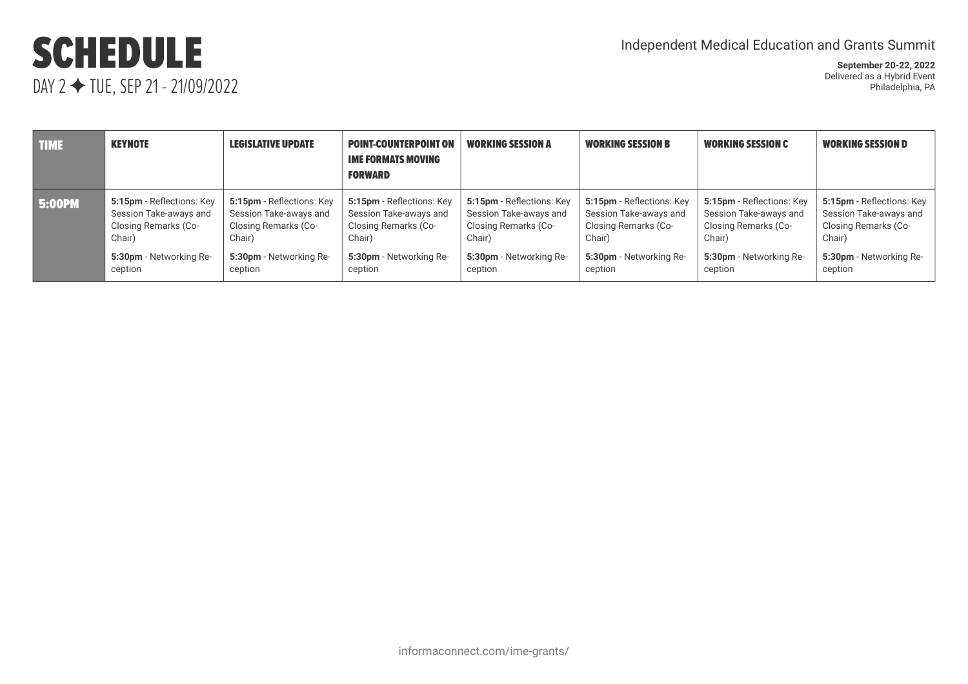## SCHEDULE DAY 2 ✦ TUE, SEP 21 - 21/09/2022

| <b>TIME</b>   | <b>KEYNOTE</b>            | <b>LEGISLATIVE UPDATE</b> | <b>POINT-COUNTERPOINT ON</b><br><b>IME FORMATS MOVING</b><br><b>FORWARD</b> | <b>WORKING SESSION A</b>  | <b>WORKING SESSION B</b>  | <b>WORKING SESSION C</b>  | <b>WORKING SESSION D</b>  |
|---------------|---------------------------|---------------------------|-----------------------------------------------------------------------------|---------------------------|---------------------------|---------------------------|---------------------------|
| <b>5:00PM</b> | 5:15pm - Reflections: Key | 5:15pm - Reflections: Key | 5:15pm - Reflections: Key                                                   | 5:15pm - Reflections: Key | 5:15pm - Reflections: Key | 5:15pm - Reflections: Key | 5:15pm - Reflections: Key |
|               | Session Take-aways and    | Session Take-aways and    | Session Take-aways and                                                      | Session Take-aways and    | Session Take-aways and    | Session Take-aways and    | Session Take-aways and    |
|               | Closing Remarks (Co-      | Closing Remarks (Co-      | Closing Remarks (Co-                                                        | Closing Remarks (Co-      | Closing Remarks (Co-      | Closing Remarks (Co-      | Closing Remarks (Co-      |
|               | Chair)                    | Chair)                    | Chair)                                                                      | Chair)                    | Chair)                    | Chair)                    | Chair)                    |
|               | 5:30pm - Networking Re-   | 5:30pm - Networking Re-   | 5:30pm - Networking Re-                                                     | 5:30pm - Networking Re-   | 5:30pm - Networking Re-   | 5:30pm - Networking Re-   | 5:30pm - Networking Re-   |
|               | ception                   | ception                   | ception                                                                     | ception                   | ception                   | ception                   | ception                   |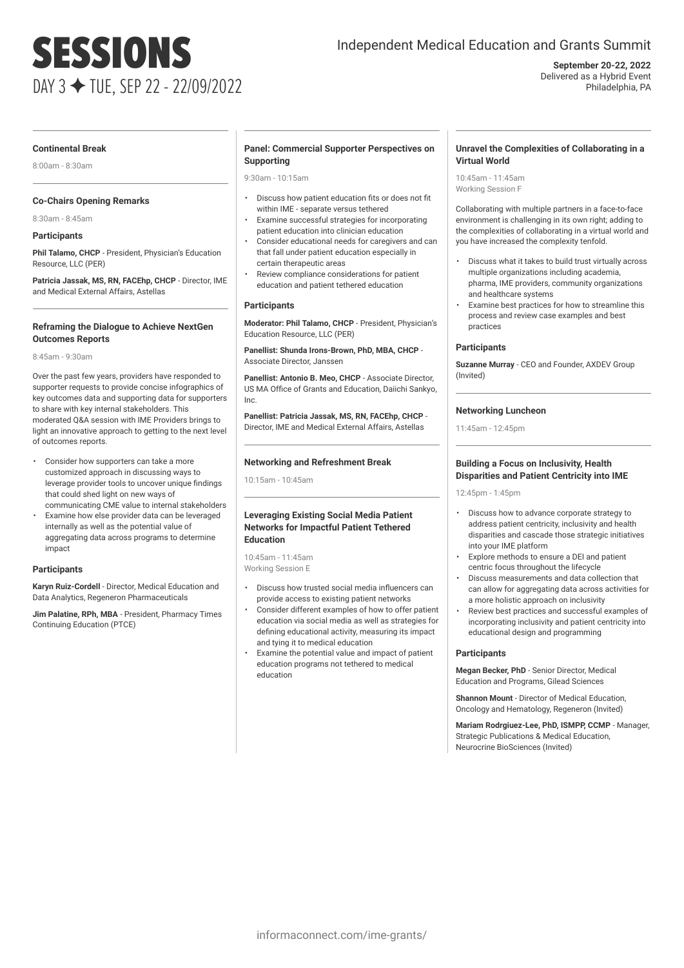# SESSIONS DAY 3 ✦ TUE, SEP 22 - 22/09/2022

### Independent Medical Education and Grants Summit

**September 20-22, 2022** Delivered as a Hybrid Event Philadelphia, PA

#### **Continental Break**

8:00am - 8:30am

#### **Co-Chairs Opening Remarks**

8:30am - 8:45am

### **Participants**

**Phil Talamo, CHCP** - President, Physician's Education Resource, LLC (PER)

**Patricia Jassak, MS, RN, FACEhp, CHCP** - Director, IME and Medical External Affairs, Astellas

#### **Reframing the Dialogue to Achieve NextGen Outcomes Reports**

8:45am - 9:30am

Over the past few years, providers have responded to supporter requests to provide concise infographics of key outcomes data and supporting data for supporters to share with key internal stakeholders. This moderated Q&A session with IME Providers brings to light an innovative approach to getting to the next level of outcomes reports.

- Consider how supporters can take a more customized approach in discussing ways to leverage provider tools to uncover unique findings that could shed light on new ways of communicating CME value to internal stakeholders
- Examine how else provider data can be leveraged internally as well as the potential value of aggregating data across programs to determine impact

#### **Participants**

**Karyn Ruiz-Cordell** - Director, Medical Education and Data Analytics, Regeneron Pharmaceuticals

**Jim Palatine, RPh, MBA** - President, Pharmacy Times Continuing Education (PTCE)

#### **Panel: Commercial Supporter Perspectives on Supporting**

9:30am - 10:15am

- Discuss how patient education fits or does not fit within IME - separate versus tethered
- Examine successful strategies for incorporating patient education into clinician education
- Consider educational needs for caregivers and can that fall under patient education especially in certain therapeutic areas
- Review compliance considerations for patient education and patient tethered education

#### **Participants**

**Moderator: Phil Talamo, CHCP** - President, Physician's Education Resource, LLC (PER)

**Panellist: Shunda Irons-Brown, PhD, MBA, CHCP** - Associate Director, Janssen

**Panellist: Antonio B. Meo, CHCP** - Associate Director, US MA Office of Grants and Education, Daiichi Sankyo, Inc.

**Panellist: Patricia Jassak, MS, RN, FACEhp, CHCP** - Director, IME and Medical External Affairs, Astellas

#### **Networking and Refreshment Break**

10:15am - 10:45am

#### **Leveraging Existing Social Media Patient Networks for Impactful Patient Tethered Education**

10:45am - 11:45am Working Session E

- Discuss how trusted social media influencers can provide access to existing patient networks
- Consider different examples of how to offer patient education via social media as well as strategies for defining educational activity, measuring its impact and tying it to medical education
- Examine the potential value and impact of patient education programs not tethered to medical education

#### **Unravel the Complexities of Collaborating in a Virtual World**

10:45am - 11:45am Working Session F

Collaborating with multiple partners in a face-to-face environment is challenging in its own right; adding to the complexities of collaborating in a virtual world and you have increased the complexity tenfold.

- Discuss what it takes to build trust virtually across multiple organizations including academia, pharma, IME providers, community organizations and healthcare systems
- Examine best practices for how to streamline this process and review case examples and best practices

#### **Participants**

**Suzanne Murray** - CEO and Founder, AXDEV Group (Invited)

#### **Networking Luncheon**

11:45am - 12:45pm

#### **Building a Focus on Inclusivity, Health Disparities and Patient Centricity into IME**

12:45pm - 1:45pm

- Discuss how to advance corporate strategy to address patient centricity, inclusivity and health disparities and cascade those strategic initiatives into your IME platform
- Explore methods to ensure a DEI and patient centric focus throughout the lifecycle
- Discuss measurements and data collection that can allow for aggregating data across activities for a more holistic approach on inclusivity
- Review best practices and successful examples of incorporating inclusivity and patient centricity into educational design and programming

#### **Participants**

**Megan Becker, PhD** - Senior Director, Medical Education and Programs, Gilead Sciences

**Shannon Mount** - Director of Medical Education, Oncology and Hematology, Regeneron (Invited)

**Mariam Rodrgiuez-Lee, PhD, ISMPP, CCMP** - Manager, Strategic Publications & Medical Education, Neurocrine BioSciences (Invited)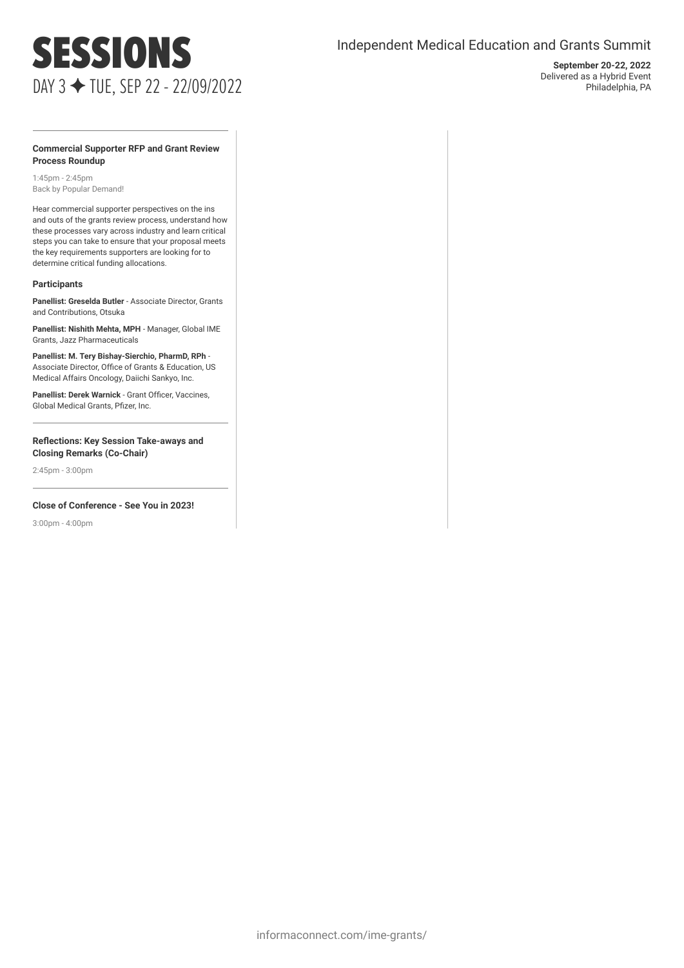## SESSIONS DAY 3 ✦ TUE, SEP 22 - 22/09/2022

### Independent Medical Education and Grants Summit

**September 20-22, 2022** Delivered as a Hybrid Event Philadelphia, PA

#### **Commercial Supporter RFP and Grant Review Process Roundup**

1:45pm - 2:45pm Back by Popular Demand!

Hear commercial supporter perspectives on the ins and outs of the grants review process, understand how these processes vary across industry and learn critical steps you can take to ensure that your proposal meets the key requirements supporters are looking for to determine critical funding allocations.

#### **Participants**

**Panellist: Greselda Butler** - Associate Director, Grants and Contributions, Otsuka

**Panellist: Nishith Mehta, MPH** - Manager, Global IME Grants, Jazz Pharmaceuticals

**Panellist: M. Tery Bishay-Sierchio, PharmD, RPh** - Associate Director, Office of Grants & Education, US Medical Affairs Oncology, Daiichi Sankyo, Inc.

**Panellist: Derek Warnick** - Grant Officer, Vaccines, Global Medical Grants, Pfizer, Inc.

**Reflections: Key Session Take-aways and Closing Remarks (Co-Chair)**

2:45pm - 3:00pm

#### **Close of Conference - See You in 2023!**

3:00pm - 4:00pm